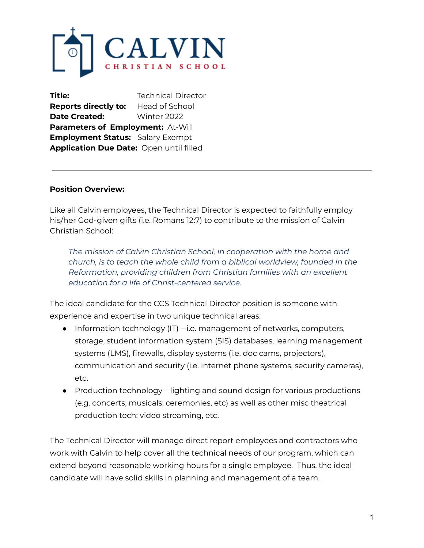

**Title:** Technical Director **Reports directly to:** Head of School **Date Created:** Winter 2022 **Parameters of Employment:** At-Will **Employment Status:** Salary Exempt **Application Due Date:** Open until filled

#### **Position Overview:**

Like all Calvin employees, the Technical Director is expected to faithfully employ his/her God-given gifts (i.e. Romans 12:7) to contribute to the mission of Calvin Christian School:

*The mission of Calvin Christian School, in cooperation with the home and church, is to teach the whole child from a biblical worldview, founded in the Reformation, providing children from Christian families with an excellent education for a life of Christ-centered service.*

The ideal candidate for the CCS Technical Director position is someone with experience and expertise in two unique technical areas:

- $\bullet$  Information technology (IT) i.e. management of networks, computers, storage, student information system (SIS) databases, learning management systems (LMS), firewalls, display systems (i.e. doc cams, projectors), communication and security (i.e. internet phone systems, security cameras), etc.
- Production technology lighting and sound design for various productions (e.g. concerts, musicals, ceremonies, etc) as well as other misc theatrical production tech; video streaming, etc.

The Technical Director will manage direct report employees and contractors who work with Calvin to help cover all the technical needs of our program, which can extend beyond reasonable working hours for a single employee. Thus, the ideal candidate will have solid skills in planning and management of a team.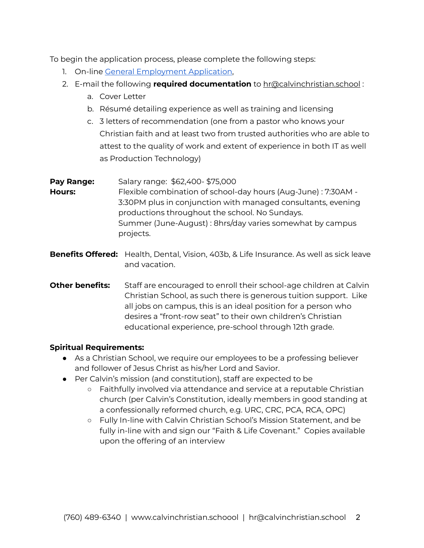To begin the application process, please complete the following steps:

- 1. On-line General [Employment](https://docs.google.com/forms/d/e/1FAIpQLSes3ijSGbG4Pu7O1cACBkXjEuAZqFmHssBX3UMr9h5EuNVreA/viewform?usp=sf_link) Application,
- 2. E-mail the following **required documentation** to hr@calvinchristian.school :
	- a. Cover Letter
	- b. Résumé detailing experience as well as training and licensing
	- c. 3 letters of recommendation (one from a pastor who knows your Christian faith and at least two from trusted authorities who are able to attest to the quality of work and extent of experience in both IT as well as Production Technology)

| Pay Range:    | Salary range: \$62,400-\$75,000                                |
|---------------|----------------------------------------------------------------|
| <b>Hours:</b> | Flexible combination of school-day hours (Aug-June) : 7:30AM - |
|               | 3:30PM plus in conjunction with managed consultants, evening   |
|               | productions throughout the school. No Sundays.                 |
|               | Summer (June-August): 8hrs/day varies somewhat by campus       |
|               | projects.                                                      |
|               |                                                                |

- **Benefits Offered:** Health, Dental, Vision, 403b, & Life Insurance. As well as sick leave and vacation.
- **Other benefits:** Staff are encouraged to enroll their school-age children at Calvin Christian School, as such there is generous tuition support. Like all jobs on campus, this is an ideal position for a person who desires a "front-row seat" to their own children's Christian educational experience, pre-school through 12th grade.

# **Spiritual Requirements:**

- As a Christian School, we require our employees to be a professing believer and follower of Jesus Christ as his/her Lord and Savior.
- Per Calvin's mission (and constitution), staff are expected to be
	- Faithfully involved via attendance and service at a reputable Christian church (per Calvin's Constitution, ideally members in good standing at a confessionally reformed church, e.g. URC, CRC, PCA, RCA, OPC)
	- Fully In-line with Calvin Christian School's Mission Statement, and be fully in-line with and sign our "Faith & Life Covenant." Copies available upon the offering of an interview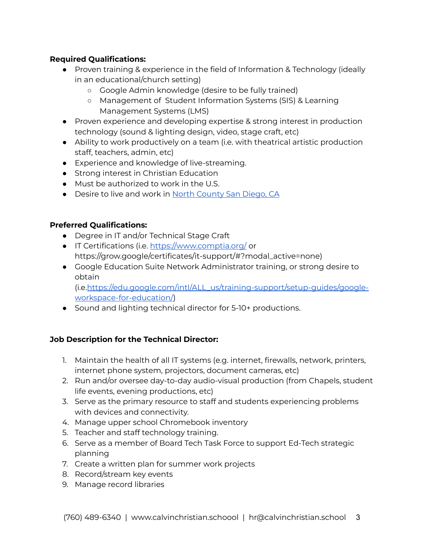## **Required Qualifications:**

- Proven training & experience in the field of Information & Technology (ideally in an educational/church setting)
	- Google Admin knowledge (desire to be fully trained)
	- Management of Student Information Systems (SIS) & Learning Management Systems (LMS)
- Proven experience and developing expertise & strong interest in production technology (sound & lighting design, video, stage craft, etc)
- Ability to work productively on a team (i.e. with theatrical artistic production staff, teachers, admin, etc)
- Experience and knowledge of live-streaming.
- Strong interest in Christian Education
- Must be authorized to work in the U.S.
- Desire to live and work in North [County](https://www.sandiego.org/explore/coastal/north-county-coastal.aspx) San Diego, CA

#### **Preferred Qualifications:**

- Degree in IT and/or Technical Stage Craft
- IT Certifications (i.e. <https://www.comptia.org/> or https://grow.google/certificates/it-support/#?modal\_active=none)
- Google Education Suite Network Administrator training, or strong desire to obtain (i.e.[https://edu.google.com/intl/ALL\\_us/training-support/setup-guides/google](https://edu.google.com/intl/ALL_us/training-support/setup-guides/google-workspace-for-education/)[workspace-for-education/](https://edu.google.com/intl/ALL_us/training-support/setup-guides/google-workspace-for-education/))
- Sound and lighting technical director for 5-10+ productions.

#### **Job Description for the Technical Director:**

- 1. Maintain the health of all IT systems (e.g. internet, firewalls, network, printers, internet phone system, projectors, document cameras, etc)
- 2. Run and/or oversee day-to-day audio-visual production (from Chapels, student life events, evening productions, etc)
- 3. Serve as the primary resource to staff and students experiencing problems with devices and connectivity.
- 4. Manage upper school Chromebook inventory
- 5. Teacher and staff technology training.
- 6. Serve as a member of Board Tech Task Force to support Ed-Tech strategic planning
- 7. Create a written plan for summer work projects
- 8. Record/stream key events
- 9. Manage record libraries